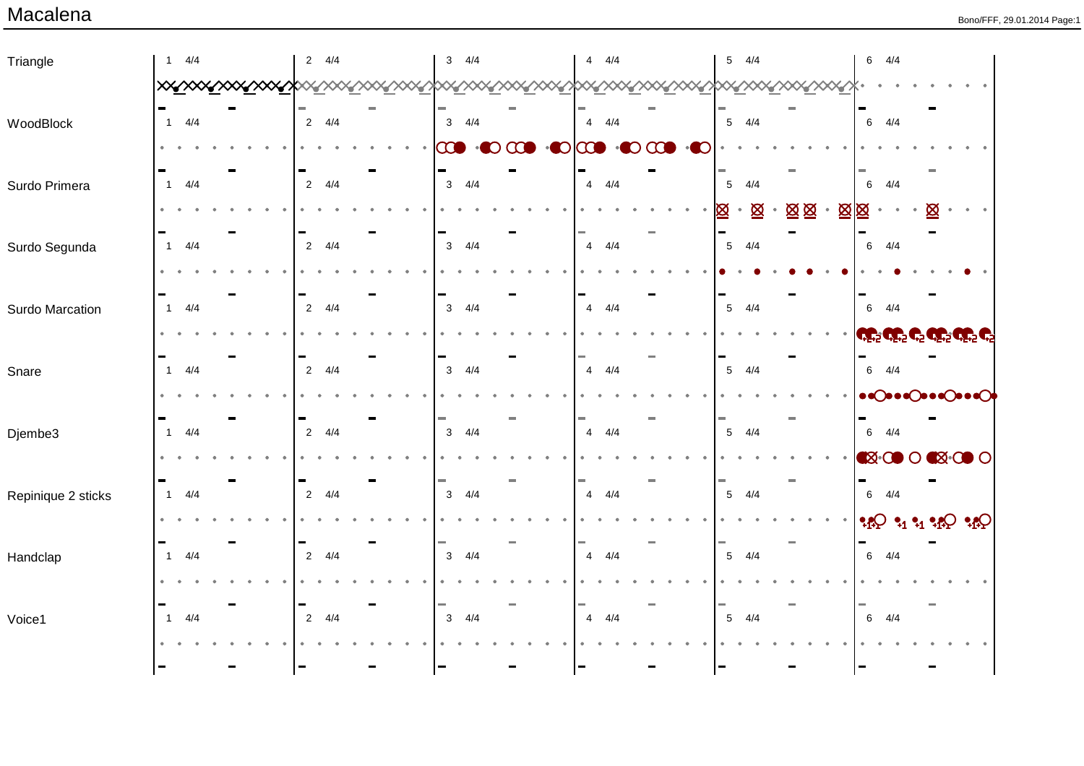| Triangle           | $1 \t 4/4$            | $2 \frac{4}{4}$ | $3 \frac{4}{4}$         | $4 \frac{4}{4}$                                                                      | 4/4<br>5        | $6 \frac{4}{4}$                                                                           |
|--------------------|-----------------------|-----------------|-------------------------|--------------------------------------------------------------------------------------|-----------------|-------------------------------------------------------------------------------------------|
|                    |                       |                 |                         | <u>  XXYXXXYXXXYXXYXXYXXXYXXXYXXXYXXYXXYXXXYXXYXXYXXYXXYXXYXXYXXYXXYXXYXXYXXYXXY</u> |                 |                                                                                           |
| WoodBlock          | $1 \t 4/4$            | $2 \frac{4}{4}$ | $3 \frac{4}{4}$         | $4 \frac{4}{4}$                                                                      | $5 \frac{4}{4}$ | $6 \frac{4}{4}$                                                                           |
|                    |                       |                 | $\infty$<br>$\cdot$ 000 | $\odot$ $\odot$ $\odot$ $\odot$ $\odot$<br>$\bullet$ $\bullet$                       |                 |                                                                                           |
|                    |                       |                 |                         |                                                                                      |                 |                                                                                           |
| Surdo Primera      | $1 \t 4/4$            | $2 \frac{4}{4}$ | $3 \frac{4}{4}$         | $4 \frac{4}{4}$                                                                      | $5 \frac{4}{4}$ | $6 \frac{4}{4}$                                                                           |
|                    |                       |                 |                         |                                                                                      | 図<br>図図<br>Ø    | 図図                                                                                        |
| Surdo Segunda      | $1 \t 4/4$            | $2 \frac{4}{4}$ | $3 \frac{4}{4}$         | $4 \frac{4}{4}$                                                                      | $5 \frac{4}{4}$ | $6 \frac{4}{4}$                                                                           |
|                    |                       |                 |                         |                                                                                      |                 |                                                                                           |
| Surdo Marcation    | $\overline{1}$<br>4/4 | $2 \frac{4}{4}$ | $3 \frac{4}{4}$         | $4 \frac{4}{4}$                                                                      | $5 \frac{4}{4}$ | $6 \frac{4}{4}$                                                                           |
|                    |                       |                 |                         |                                                                                      |                 | <mark>نے کی جنوب کی جنوب کرتے</mark>                                                      |
|                    |                       |                 |                         |                                                                                      |                 |                                                                                           |
| Snare              | $1 \t 4/4$            | $2 \frac{4}{4}$ | $3 \frac{4}{4}$         | $4 \frac{4}{4}$                                                                      | $5 \frac{4}{4}$ | $6 \frac{4}{4}$                                                                           |
|                    |                       |                 |                         |                                                                                      |                 | $\bullet \bullet \bullet \bullet \bullet \bullet \bullet \bullet \bullet \bullet \bullet$ |
| Djembe3            | $1 \t 4/4$            | $2 \frac{4}{4}$ | $3 \frac{4}{4}$         | $4 \frac{4}{4}$                                                                      | $5 \frac{4}{4}$ | $6 \frac{4}{4}$                                                                           |
|                    |                       |                 |                         |                                                                                      |                 | <b>EX-COO CX-COO</b>                                                                      |
| Repinique 2 sticks | $\overline{1}$<br>4/4 | $2 \frac{4}{4}$ | $3 \frac{4}{4}$         | $4 \frac{4}{4}$                                                                      | $5 \frac{4}{4}$ | $6 \frac{4}{4}$                                                                           |
|                    |                       |                 |                         |                                                                                      |                 |                                                                                           |
|                    |                       |                 |                         |                                                                                      |                 |                                                                                           |
| Handclap           | $1 \t 4/4$            | $2 \frac{4}{4}$ | $3 \frac{4}{4}$         | $4 \frac{4}{4}$                                                                      | $5 \frac{4}{4}$ | $6 \frac{4}{4}$                                                                           |
|                    |                       |                 |                         |                                                                                      |                 |                                                                                           |
| Voice1             | 4/4<br>$\overline{1}$ | $2 \frac{4}{4}$ | $3 \frac{4}{4}$         | $4 \frac{4}{4}$                                                                      | $5 \frac{4}{4}$ | $6 \frac{4}{4}$                                                                           |
|                    |                       |                 |                         |                                                                                      |                 |                                                                                           |
|                    |                       |                 | $\blacksquare$          |                                                                                      |                 |                                                                                           |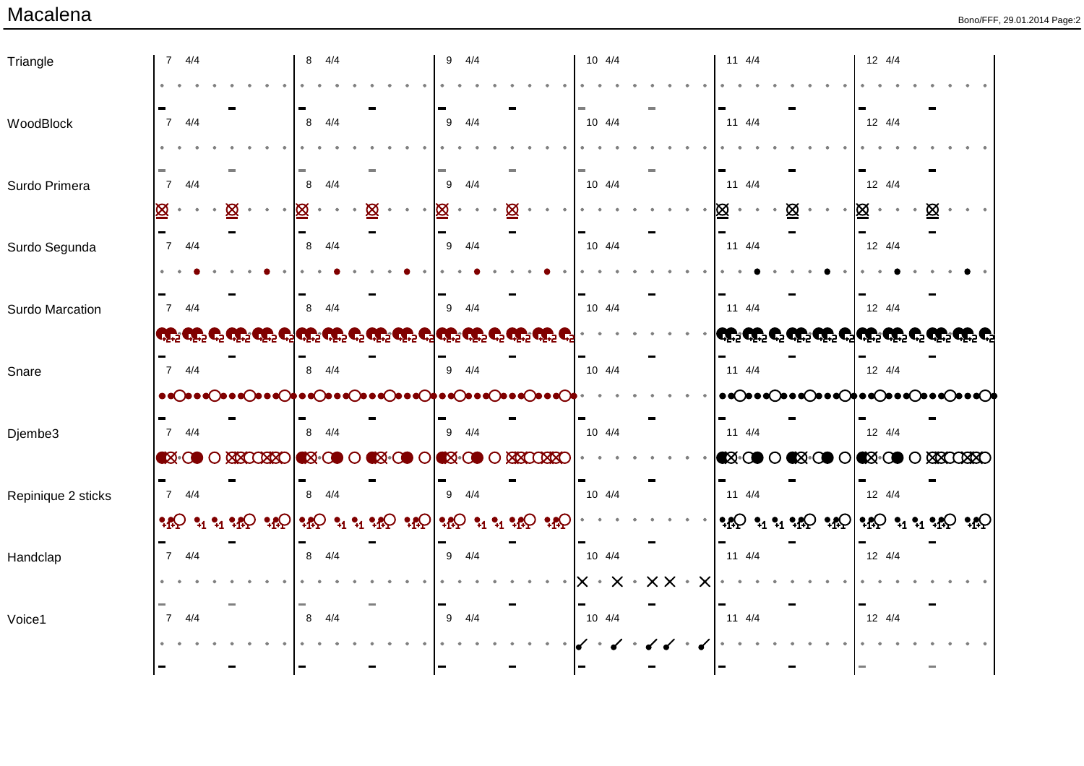| Triangle           | $7 \frac{4}{4}$                                                                         | $8 \frac{4}{4}$                                                                                      | $9 \frac{4}{4}$                                                          | 10 4/4                                                | $11 \t 4/4$                           | 12 4/4                                                                                                                                                                                                                                                                                                                                                                       |
|--------------------|-----------------------------------------------------------------------------------------|------------------------------------------------------------------------------------------------------|--------------------------------------------------------------------------|-------------------------------------------------------|---------------------------------------|------------------------------------------------------------------------------------------------------------------------------------------------------------------------------------------------------------------------------------------------------------------------------------------------------------------------------------------------------------------------------|
|                    |                                                                                         |                                                                                                      |                                                                          |                                                       |                                       |                                                                                                                                                                                                                                                                                                                                                                              |
| WoodBlock          | $7 \frac{4}{4}$                                                                         | $8 \frac{4}{4}$                                                                                      | $9 \quad 4/4$                                                            | $10 \t 4/4$                                           | $11 \t 4/4$                           | 12 4/4                                                                                                                                                                                                                                                                                                                                                                       |
|                    |                                                                                         |                                                                                                      |                                                                          |                                                       |                                       |                                                                                                                                                                                                                                                                                                                                                                              |
| Surdo Primera      | $7 \frac{4}{4}$                                                                         | 4/4<br>8                                                                                             | $9 \quad 4/4$                                                            | $10 \t 4/4$                                           | $11 \t 4/4$                           | 12 4/4                                                                                                                                                                                                                                                                                                                                                                       |
|                    | Ø<br>Ø<br>$\bullet$<br>$\bullet$<br>$\bullet$                                           | Ø<br>⊠<br>$\bullet$                                                                                  | Ø<br>Ø<br>$\bullet$                                                      |                                                       | Ø<br>⊠<br>$\bullet$                   | $\boxtimes$ .<br>⊠                                                                                                                                                                                                                                                                                                                                                           |
| Surdo Segunda      | $7 \frac{4}{4}$                                                                         | 8 4/4                                                                                                | $9 \frac{4}{4}$                                                          | $10 \t 4/4$                                           | $11 \t 4/4$                           | 12 4/4                                                                                                                                                                                                                                                                                                                                                                       |
|                    |                                                                                         |                                                                                                      |                                                                          |                                                       |                                       |                                                                                                                                                                                                                                                                                                                                                                              |
| Surdo Marcation    | $7 \frac{4}{4}$                                                                         | 4/4<br>8                                                                                             | $9 \quad 4/4$                                                            | $10 \t 4/4$                                           | $11 \t 4/4$                           | 12 4/4                                                                                                                                                                                                                                                                                                                                                                       |
|                    |                                                                                         | وَيْنَ وَيْنَ وَجَا وَيْنَ وَيْنَ وَيْنَ وَيْنَ وَيْنَ وَيْنَ وَيْنَ وَيْنَ وَيْنَ وَيْنَ وَيْنَ وَي |                                                                          |                                                       |                                       |                                                                                                                                                                                                                                                                                                                                                                              |
| Snare              | $7 \frac{4}{4}$                                                                         | $8 \quad 4/4$                                                                                        | $9 \quad 4/4$                                                            | $10 \t 4/4$                                           | $11 \t 4/4$                           | $12 \t 4/4$                                                                                                                                                                                                                                                                                                                                                                  |
|                    |                                                                                         | •• ()••• ()••• ()••• ()••• ()••• ()••• ()••• ()••• ()••• ()••• ()•••                                 |                                                                          |                                                       |                                       | ••○••○••○••○••○••○••○•••○•••○                                                                                                                                                                                                                                                                                                                                                |
| Djembe3            | $7 \frac{4}{4}$                                                                         | $8 \frac{4}{4}$                                                                                      | $9 \quad 4/4$                                                            | 10 4/4                                                | $11 \t 4/4$                           | $12 \t 4/4$                                                                                                                                                                                                                                                                                                                                                                  |
|                    | <b>EX-OO O XXCOXXO EX-OO O</b>                                                          |                                                                                                      | <b>EX-000   EX-000 AXXCXXC</b>                                           |                                                       | <b>EX-00 0 EX-00 0 EX-00 0 XXXXXX</b> |                                                                                                                                                                                                                                                                                                                                                                              |
| Repinique 2 sticks | $7 \frac{4}{4}$                                                                         | 8 4/4                                                                                                | $9 \quad 4/4$                                                            | $10 \t 4/4$                                           | $11 \t 4/4$                           | 12 4/4                                                                                                                                                                                                                                                                                                                                                                       |
|                    | $\mathcal{A}$ $\Omega$ $\mathcal{A}$ $\mathcal{A}$ $\mathcal{A}$ $\Omega$ $\mathcal{A}$ |                                                                                                      | $\cdot \circ \circ \cdot \circ \cdot \circ \cdot \circ \cdot$<br>$\cdot$ |                                                       |                                       | $\Omega_{\rm 1}^{\rm 2} \Omega_{\rm 2}^{\rm 1} \Omega_{\rm 1}^{\rm 2} \Omega_{\rm 2}^{\rm 1} \Omega_{\rm 2}^{\rm 2} \Omega_{\rm 2}^{\rm 1} \Omega_{\rm 2}^{\rm 1} \Omega_{\rm 2}^{\rm 2} \Omega_{\rm 2}^{\rm 1} \Omega_{\rm 2}^{\rm 1} \Omega_{\rm 2}^{\rm 1} \Omega_{\rm 2}^{\rm 1} \Omega_{\rm 2}^{\rm 1} \Omega_{\rm 2}^{\rm 1} \Omega_{\rm 2}^{\rm 1} \Omega_{\rm 2}^{\$ |
| Handclap           | $7 \frac{4}{4}$                                                                         | $8 \frac{4}{4}$                                                                                      | $9 \quad 4/4$                                                            | 10 4/4                                                | $11 \t 4/4$                           | $12 \t 4/4$                                                                                                                                                                                                                                                                                                                                                                  |
|                    |                                                                                         |                                                                                                      |                                                                          | $\times\times$ .<br>$\times$ $\cdot$ $\times$ $\cdot$ |                                       |                                                                                                                                                                                                                                                                                                                                                                              |
| Voice1             | $7 \frac{4}{4}$                                                                         | $8 \frac{4}{4}$                                                                                      | $9 \quad 4/4$                                                            | 10 4/4                                                | $11 \t 4/4$                           | 12 4/4                                                                                                                                                                                                                                                                                                                                                                       |
|                    |                                                                                         |                                                                                                      |                                                                          |                                                       |                                       |                                                                                                                                                                                                                                                                                                                                                                              |
|                    |                                                                                         |                                                                                                      |                                                                          | $\qquad \qquad \blacksquare$                          |                                       |                                                                                                                                                                                                                                                                                                                                                                              |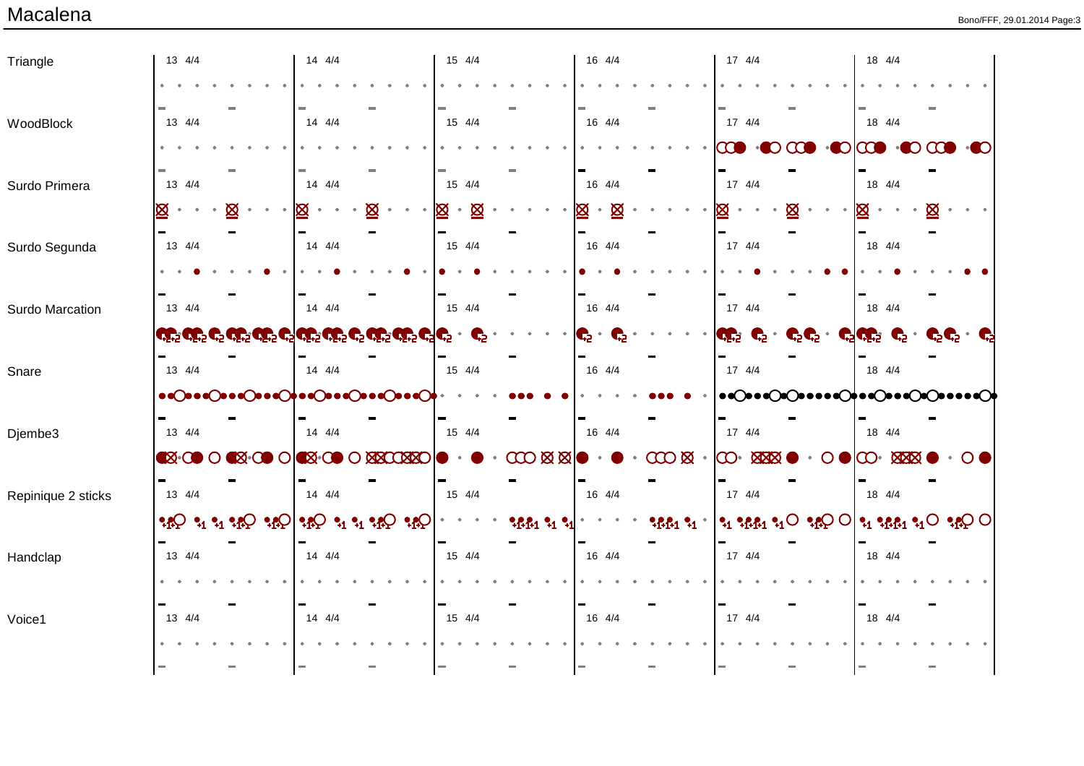| Triangle           | 13 4/4                                                                                               |                   | 14 4/4                          |              | 15 4/4         |                                    | 16 4/4              |                                   | 17 4/4                                                                      | 18 4/4                                                                                                                         |  |
|--------------------|------------------------------------------------------------------------------------------------------|-------------------|---------------------------------|--------------|----------------|------------------------------------|---------------------|-----------------------------------|-----------------------------------------------------------------------------|--------------------------------------------------------------------------------------------------------------------------------|--|
|                    |                                                                                                      |                   |                                 |              |                |                                    |                     |                                   |                                                                             |                                                                                                                                |  |
| WoodBlock          | 13 4/4                                                                                               |                   | $14 \t 4/4$                     |              | 15 4/4         |                                    | 16 4/4              |                                   | 17 4/4                                                                      | 18 4/4                                                                                                                         |  |
|                    |                                                                                                      |                   |                                 |              |                |                                    |                     |                                   | $\infty$                                                                    | $\cdot$ 0 $\infty$ $\cdot$ 0                                                                                                   |  |
| Surdo Primera      | 13 4/4                                                                                               |                   | $14 \t 4/4$                     |              | 15 4/4         |                                    | 16 4/4              |                                   | 17 4/4                                                                      | 18 4/4                                                                                                                         |  |
|                    | Ø                                                                                                    | ⊠                 | Ø                               | 図            | $\otimes$<br>⊠ |                                    | 図<br>Ø<br>$\bullet$ |                                   |                                                                             | ⊠<br>Ø                                                                                                                         |  |
| Surdo Segunda      | 13 4/4                                                                                               |                   | 14 4/4                          |              | 15 4/4         |                                    | 16 4/4              |                                   | 17 4/4                                                                      | 18 4/4                                                                                                                         |  |
|                    |                                                                                                      |                   |                                 |              |                |                                    |                     |                                   |                                                                             |                                                                                                                                |  |
| Surdo Marcation    | 13 4/4                                                                                               |                   | 14 4/4                          |              | 15 4/4         |                                    | 16 4/4              |                                   | $17 \t 4/4$                                                                 | 18 4/4                                                                                                                         |  |
|                    | وَيْنَ وَيْنَ وَيْنَ وَيْنَ وَيْنَ وَيْنَ وَيْنَ وَيْنَ وَيْنَ وَيْنَ وَيْنَ وَيْنَ وَيْنَ وَيْنَ وَ |                   |                                 |              |                |                                    | Ç,<br>G             |                                   | QG 2<br>$\mathbf{C}$ .                                                      | $\mathbf{C}^5\mathbf{C}^5$ . $\mathbf{C}^5\mathbf{C}^5\mathbf{C}^5$ .<br>$C_2$ $C_2$ $C_2$                                     |  |
| Snare              | 13 4/4                                                                                               |                   | $14 \quad 4/4$                  |              | 15 4/4         |                                    | 16 4/4              |                                   | $17 \t 4/4$                                                                 | 18 4/4                                                                                                                         |  |
|                    | $\bullet$ CooCooCooCooCooCooCooCooCooC                                                               |                   |                                 |              |                |                                    |                     |                                   | $\bullet$                                                                   | ∙∙∙⊙†∙∙⊙∙∙∙⊙∙⊙                                                                                                                 |  |
| Djembe3            | 13 4/4                                                                                               |                   | $14 \quad 4/4$                  |              | 15 4/4         |                                    | 16 4/4              |                                   | $17 \t4/4$                                                                  | 18 4/4                                                                                                                         |  |
|                    | <b>EX-OD OK</b>                                                                                      |                   | <b>EX-000   EX-0000 XXXXXXX</b> |              |                | $\cos \boxtimes \boxtimes \bullet$ |                     | $\cdot$ $\infty$ $\infty$ $\cdot$ | $\mathcal{S}$<br><b>XXX</b>                                                 | $\infty$<br><b>MAN</b>                                                                                                         |  |
| Repinique 2 sticks | 13 4/4                                                                                               |                   | $14 \t 4/4$                     |              | 15 4/4         |                                    | 16 4/4              |                                   | $17 \t 4/4$                                                                 | 18 4/4                                                                                                                         |  |
|                    | $\cdot \circ \cdot$                                                                                  | $Q_{1}$ $\bullet$ | $\cdot \cdot \cdot \cdot$       | $\mathbf{Q}$ |                | <b>ዓይይ1 ዓ1 ዓ.</b>                  |                     | 34.131                            | $\mathfrak{e}_1$ $\mathfrak{e}_2$ $\mathfrak{e}_1$ $\mathfrak{e}_1$ $\circ$ | $\left  \cdot_{1} \cdot_{1} \cdot_{1} \cdot_{1} \circ \cdot_{1} \circ \cdot_{1} \circ \circ \circ \right $<br>$Q_{\mathbf{R}}$ |  |
| Handclap           | 13 4/4                                                                                               |                   | 14 4/4                          |              | 15 4/4         |                                    | 16 4/4              |                                   | $17 \t 4/4$                                                                 | 18 4/4                                                                                                                         |  |
|                    |                                                                                                      |                   |                                 |              |                |                                    |                     |                                   |                                                                             |                                                                                                                                |  |
| Voice1             | 13 4/4                                                                                               |                   | 14 4/4                          |              | 15 4/4         |                                    | 16 4/4              |                                   | 17 4/4                                                                      | 18 4/4                                                                                                                         |  |
|                    |                                                                                                      |                   |                                 |              |                |                                    |                     |                                   |                                                                             |                                                                                                                                |  |
|                    |                                                                                                      |                   |                                 | m.           | l=             |                                    | <b>COL</b>          |                                   | $\sim$                                                                      | <b>COL</b>                                                                                                                     |  |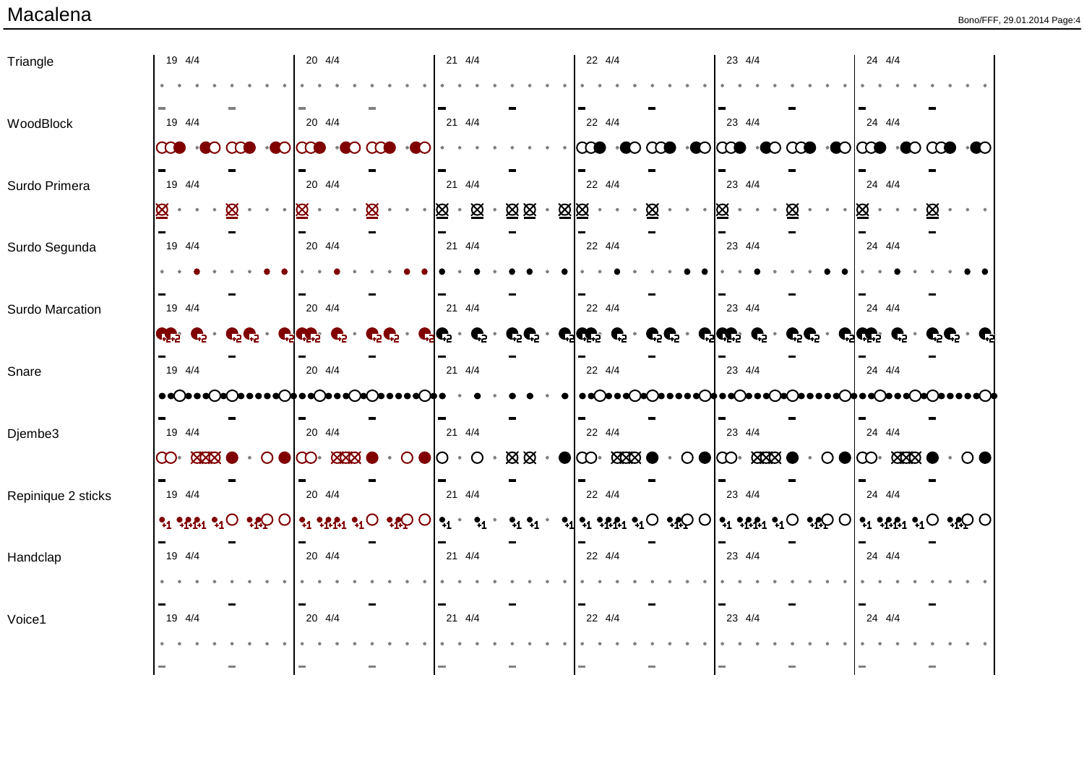| Triangle           | 19 4/4                                              |            | 20 4/4                                                    |                              | 21 4/4                       |                       | 22 4/4                                                                                                                                                                                                                                                                                                                                                                                                                               |                              | 23 4/4              |                    | 24 4/4                                  |         |
|--------------------|-----------------------------------------------------|------------|-----------------------------------------------------------|------------------------------|------------------------------|-----------------------|--------------------------------------------------------------------------------------------------------------------------------------------------------------------------------------------------------------------------------------------------------------------------------------------------------------------------------------------------------------------------------------------------------------------------------------|------------------------------|---------------------|--------------------|-----------------------------------------|---------|
|                    |                                                     |            |                                                           |                              |                              |                       |                                                                                                                                                                                                                                                                                                                                                                                                                                      |                              |                     |                    |                                         |         |
| WoodBlock          | 19 4/4                                              |            | 20 4/4                                                    |                              | $21 \t 4/4$                  |                       | 22 4/4                                                                                                                                                                                                                                                                                                                                                                                                                               |                              | 23 4/4              |                    | 24 4/4                                  |         |
|                    | $\infty$<br>D                                       | <b>CCI</b> | $\bullet$ $\bullet$<br>$\mathbf{O}[\mathbf{C}\mathbf{O}]$ | $\Omega$                     |                              |                       | $\infty$<br>$\cdot$ $\infty$                                                                                                                                                                                                                                                                                                                                                                                                         | $\cdot$ CICO                 | $\bullet$ $\bullet$ | $\infty$           | $\cdot$ 000 $\cdot$ 000 $\cdot$ 000     |         |
| Surdo Primera      | 19 4/4                                              |            | 20 4/4                                                    |                              | $21 \t 4/4$                  |                       | 22 4/4                                                                                                                                                                                                                                                                                                                                                                                                                               |                              | 23 4/4              |                    | 24 4/4                                  |         |
|                    | ⊠                                                   | ⊠          |                                                           | Ø<br>$\bullet$               | 図<br>⊠<br>$\bullet$          | 図図<br>⊠⊠<br>$\bullet$ | 図                                                                                                                                                                                                                                                                                                                                                                                                                                    |                              | Ø<br>⊠              |                    | ⊠<br>⊠                                  |         |
| Surdo Segunda      | 19 4/4                                              |            | 20 4/4                                                    |                              | 21 4/4                       |                       | 22 4/4                                                                                                                                                                                                                                                                                                                                                                                                                               |                              | 23 4/4              |                    | 24 4/4                                  |         |
|                    |                                                     |            |                                                           |                              |                              |                       |                                                                                                                                                                                                                                                                                                                                                                                                                                      |                              |                     |                    |                                         |         |
| Surdo Marcation    | 19 4/4                                              |            | 20 4/4                                                    |                              | 21 4/4                       |                       | 22 4/4                                                                                                                                                                                                                                                                                                                                                                                                                               |                              | 23 4/4              |                    | 24 4/4                                  |         |
|                    | <b>CE</b><br>$\mathbb{C}^5$ .                       |            | $C^5C^5$ . $C^5C^5C^5$ .                                  | $\mathbf{C}^5\mathbf{C}^5$ . | $C^5C^5$ .<br>$\mathbf{C}$ . |                       | $C^5C^5$ . $C^5C^{155}$ $C^5$ .                                                                                                                                                                                                                                                                                                                                                                                                      |                              |                     |                    | င္း ျပည္တြင္း (၁) ရက္ေရးစြား (၁) ရက္ေရး |         |
| Snare              | 19 4/4                                              |            | 20 4/4                                                    |                              | 21 4/4                       |                       | 22 4/4                                                                                                                                                                                                                                                                                                                                                                                                                               |                              | 23 4/4              |                    | 24 4/4                                  |         |
|                    | $\bullet$                                           |            | ∙∙⊙†∙∙⊙∙∙⊙⊙                                               |                              |                              |                       | $\bullet \bullet \bullet \bullet \bullet \bullet \bullet \bullet \bullet$                                                                                                                                                                                                                                                                                                                                                            |                              | ∙∙∙⊙†∙∙⊙∙∙⊙∙⊙       |                    | ∙∙⊝†∙∙⊝∙∙⊙©                             |         |
| Djembe3            | 19 4/4                                              |            | 20 4/4                                                    |                              | 21 4/4                       |                       | 22 4/4                                                                                                                                                                                                                                                                                                                                                                                                                               |                              | 23 4/4              |                    | 24 4/4                                  |         |
|                    | $\infty$<br><b>XXXX</b>                             | O          | ထႋ<br><b>MAN</b>                                          |                              | ( )                          | <b>ØØ</b>             | $\bullet$ $\bullet$<br><b>XXXX</b>                                                                                                                                                                                                                                                                                                                                                                                                   | $\odot \bullet \circledcirc$ | <b>XXXXX</b>        | $\bigcirc \bullet$ | <b>XXXXX</b>                            | $\circ$ |
| Repinique 2 sticks | 19 4/4                                              |            | 20 4/4                                                    |                              | $21 \t 4/4$                  |                       | 22 4/4                                                                                                                                                                                                                                                                                                                                                                                                                               |                              | 23 4/4              |                    | 24 4/4                                  |         |
|                    | $\gamma_1 \gamma_2 \beta_1 \gamma_2 \circ \gamma_2$ |            |                                                           | $\Omega$                     | $\mathbf{Q}_1$ .             |                       | $\mathbf{P}_1 \cdot_{\mathbf{P}_1 \mathbf{P}_1} \cdot_{\mathbf{P}_2} \mathbf{P}_1 \odot \mathbf{P}_2 \odot \mathbf{P}_1 \odot \mathbf{P}_2 \odot \mathbf{P}_1 \odot \mathbf{P}_2 \odot \mathbf{P}_1 \odot \mathbf{P}_2 \odot \mathbf{P}_1 \odot \mathbf{P}_2 \odot \mathbf{P}_2 \odot \mathbf{P}_1 \odot \mathbf{P}_2 \odot \mathbf{P}_2 \odot \mathbf{P}_2 \odot \mathbf{P}_2 \odot \mathbf{P}_2 \odot \mathbf{P}_2 \odot \mathbf{$ |                              |                     |                    |                                         |         |
|                    | 19 4/4                                              |            | 20 4/4                                                    |                              | 21 4/4                       |                       | 22 4/4                                                                                                                                                                                                                                                                                                                                                                                                                               |                              | 23 4/4              |                    | 24 4/4                                  |         |
| Handclap           |                                                     |            |                                                           |                              |                              |                       |                                                                                                                                                                                                                                                                                                                                                                                                                                      |                              |                     |                    |                                         |         |
|                    |                                                     |            |                                                           |                              |                              |                       |                                                                                                                                                                                                                                                                                                                                                                                                                                      |                              |                     |                    |                                         |         |
| Voice1             | 19 4/4                                              |            | 20 4/4                                                    |                              | $21 \t 4/4$                  |                       | 22 4/4                                                                                                                                                                                                                                                                                                                                                                                                                               |                              | 23 4/4              |                    | 24 4/4                                  |         |
|                    |                                                     |            |                                                           |                              | $\sim$                       |                       | $\sim$                                                                                                                                                                                                                                                                                                                                                                                                                               |                              | $\sim$              |                    |                                         |         |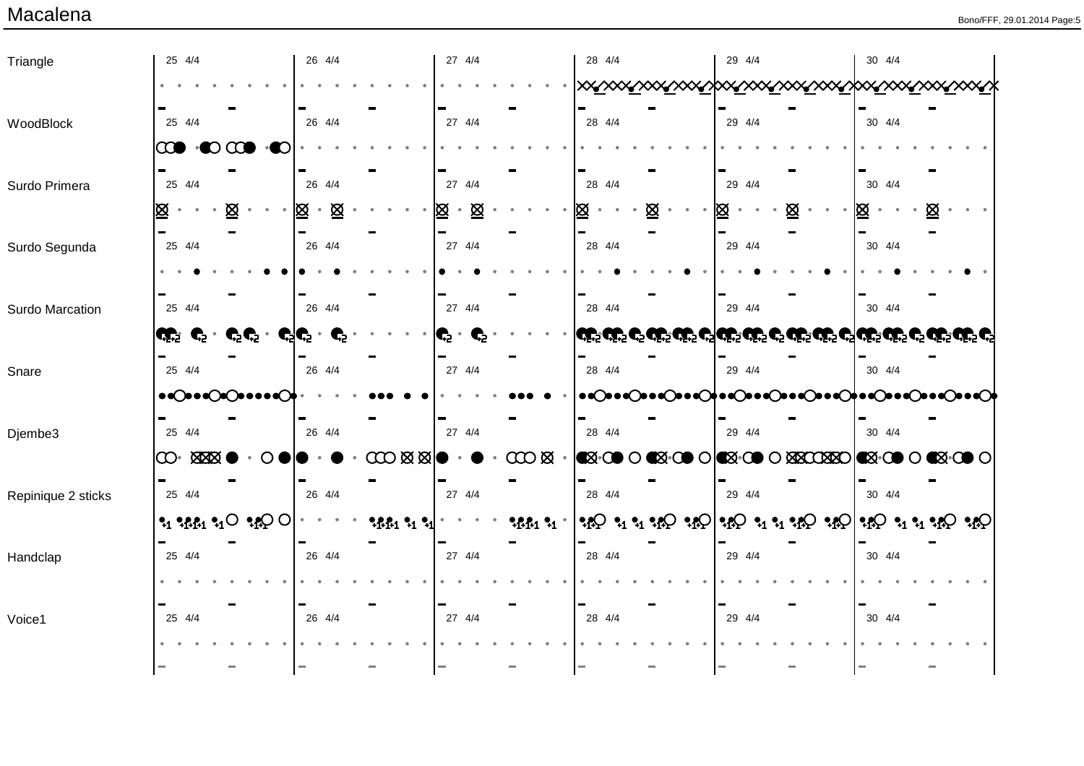| Triangle           | 25 4/4                                                                      | 26 4/4          | 27 4/4                                            | 28 4/4                                                     | 29 4/4 | 30 4/4                                                                                                         |
|--------------------|-----------------------------------------------------------------------------|-----------------|---------------------------------------------------|------------------------------------------------------------|--------|----------------------------------------------------------------------------------------------------------------|
|                    |                                                                             |                 |                                                   |                                                            |        |                                                                                                                |
| WoodBlock          | 25 4/4                                                                      | 26 4/4          | 27 4/4                                            | 28 4/4                                                     | 29 4/4 | 30 4/4                                                                                                         |
|                    | $\overline{\mathbb{C}}$<br>$\cdot$ 00<br>$\bullet$ $\bullet$                |                 |                                                   |                                                            |        |                                                                                                                |
| Surdo Primera      | 25 4/4                                                                      | 26 4/4          | 27 4/4                                            | 28 4/4                                                     | 29 4/4 | 30 4/4                                                                                                         |
|                    | $\underline{\otimes}$<br>図<br>$\bullet$ $\bullet$<br>$\bullet$<br>$\bullet$ | 図<br>Ø          | 図<br>⊠                                            | Ø<br>図                                                     | ⊠<br>⊠ | 図<br>⊠                                                                                                         |
| Surdo Segunda      | 25 4/4                                                                      | 26 4/4          | 27 4/4                                            | 28 4/4                                                     | 29 4/4 | 30 4/4                                                                                                         |
|                    |                                                                             |                 |                                                   |                                                            |        |                                                                                                                |
| Surdo Marcation    | 25 4/4                                                                      | 26 4/4          | 27 4/4                                            | 28 4/4                                                     | 29 4/4 | 30 4/4                                                                                                         |
|                    | $\mathbf{G}^{\bullet\bullet}_\mathbf{S}$ .<br>$\mathbf{C}^5\mathbf{C}^5$ .  | $\mathbf{C}^5$  | Ć.<br>$\mathbf{C}^{\mathbf{S}}$                   |                                                            |        | ولون ولون ون ولون وون والولائي ولون والون والوالي والمون والموالي والون والموالي والموالي والموالي والموالي وا |
| Snare              | 25 4/4                                                                      | 26 4/4          | 27 4/4                                            | 28 4/4                                                     | 29 4/4 | 30 4/4                                                                                                         |
|                    | $\bullet$                                                                   |                 |                                                   | $\bullet$ Cooc $\circ$ coc $\circ$ coc $\circ$ coc $\circ$ |        | )●●○●●○●●●○●●●○●●●○●●●○●                                                                                       |
| Djembe3            | 25 4/4                                                                      | 26 4/4          | 27 4/4                                            | 28 4/4                                                     | 29 4/4 | 30 4/4                                                                                                         |
|                    | <b>SESSO</b><br>$\infty$                                                    | $\cos \alpha$   | $\infty$                                          |                                                            |        | <b>ISI-OD O ISI-OD O ISI-OD O ISICOSIO ISI-OD O ISI-OD O</b>                                                   |
| Repinique 2 sticks | 25 4/4                                                                      | 26 4/4          | 27 4/4                                            | 28 4/4                                                     | 29 4/4 | 30 4/4                                                                                                         |
|                    | $\cdot_1 \cdot_{1} \cdot_{1}$ $\cdot_1$ $\circ$ $\cdot_{1}$ $\circ$ $\circ$ | <b>1661 % %</b> | 9.6131<br>$\bullet \qquad \bullet \qquad \bullet$ |                                                            |        |                                                                                                                |
| Handclap           | 25 4/4                                                                      | 26 4/4          | 27 4/4                                            | 28 4/4                                                     | 29 4/4 | 30 4/4                                                                                                         |
|                    |                                                                             |                 |                                                   |                                                            |        |                                                                                                                |
| Voice1             | 25 4/4                                                                      | 26 4/4          | 27 4/4                                            | 28 4/4                                                     | 29 4/4 | 30 4/4                                                                                                         |
|                    |                                                                             |                 |                                                   |                                                            |        |                                                                                                                |
|                    |                                                                             |                 | m.                                                | <b>College</b>                                             |        |                                                                                                                |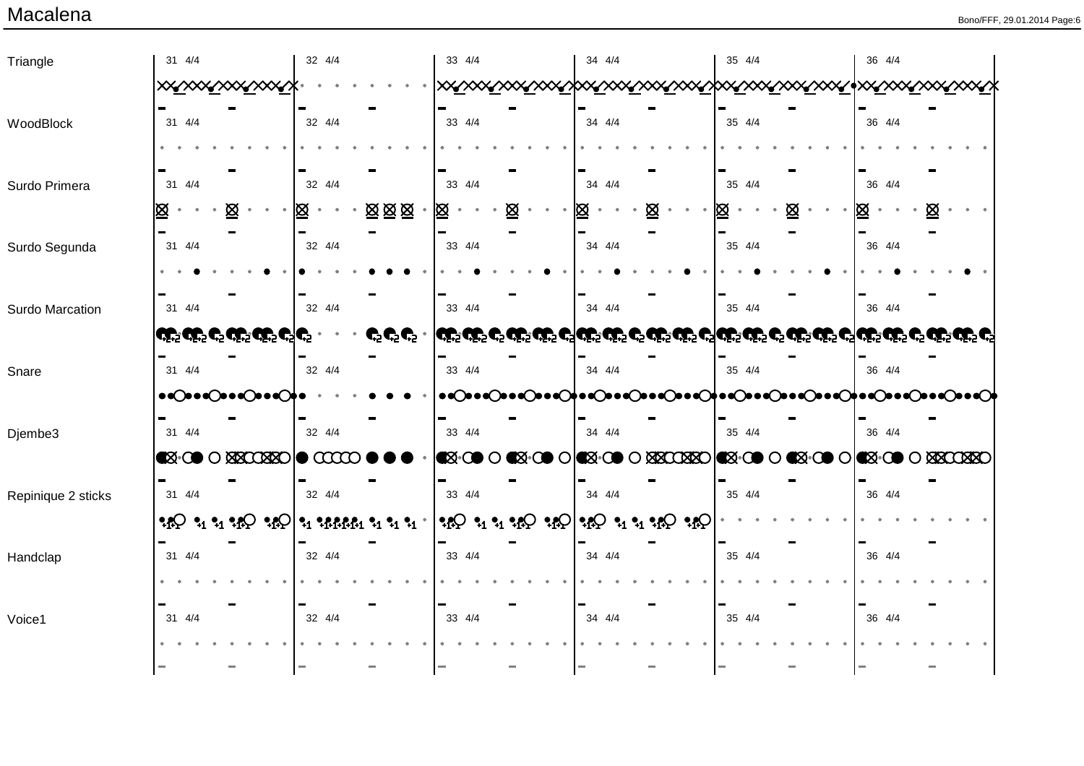| Triangle           | 31 4/4                                                                                                    | 32 4/4                                 | 33 4/4 | 34 4/4                                                                                                                                                                                                                                                                          | 35 4/4 | 36 4/4                                                                                                         |
|--------------------|-----------------------------------------------------------------------------------------------------------|----------------------------------------|--------|---------------------------------------------------------------------------------------------------------------------------------------------------------------------------------------------------------------------------------------------------------------------------------|--------|----------------------------------------------------------------------------------------------------------------|
|                    | <u><b>xx∡xxx∡xxx∡xxx</b></u>                                                                              |                                        |        |                                                                                                                                                                                                                                                                                 |        |                                                                                                                |
| WoodBlock          | 31 4/4                                                                                                    | 32 4/4                                 | 33 4/4 | 34 4/4                                                                                                                                                                                                                                                                          | 35 4/4 | 36 4/4                                                                                                         |
|                    |                                                                                                           |                                        |        |                                                                                                                                                                                                                                                                                 |        |                                                                                                                |
| Surdo Primera      | 31 4/4                                                                                                    | 32 4/4                                 | 33 4/4 | 34 4/4                                                                                                                                                                                                                                                                          | 35 4/4 | 36 4/4                                                                                                         |
|                    | ⊠<br>⊠                                                                                                    | 図図図<br>⊠                               | 図<br>Ø | ⊠<br>Ю                                                                                                                                                                                                                                                                          | Ø      | Ø                                                                                                              |
|                    |                                                                                                           | 32 4/4                                 | 33 4/4 | 34 4/4                                                                                                                                                                                                                                                                          | 35 4/4 | 36 4/4                                                                                                         |
| Surdo Segunda      | 31 4/4                                                                                                    |                                        |        |                                                                                                                                                                                                                                                                                 |        |                                                                                                                |
|                    |                                                                                                           |                                        |        |                                                                                                                                                                                                                                                                                 |        |                                                                                                                |
| Surdo Marcation    | 31 4/4                                                                                                    | 32 4/4                                 | 33 4/4 | 34 4/4                                                                                                                                                                                                                                                                          | 35 4/4 | 36 4/4                                                                                                         |
|                    | والت والت ولتح والت والت والوالى                                                                          | $\mathbf{C}^5\mathbf{C}^5\mathbf{C}$ . |        |                                                                                                                                                                                                                                                                                 |        | وَلَكَ وَلَكَ وَ*وَلَكَ وَيَا مَلَكَ أَيْكَ وَيَا مَعْنَا وَيَا وَيَا وَيَا وَيَا مَنْ مَنْ مَنْ مَا وَيَا وَي |
| Snare              | 31 4/4                                                                                                    | 32 4/4                                 | 33 4/4 | $34 \frac{4}{4}$                                                                                                                                                                                                                                                                | 35 4/4 | 36 4/4                                                                                                         |
|                    | $\bullet \bullet \bullet \bullet \bullet \bullet \bullet \bullet \bullet \bullet \bullet$                 |                                        |        |                                                                                                                                                                                                                                                                                 |        |                                                                                                                |
| Djembe3            | 31 4/4                                                                                                    | 32 4/4                                 | 33 4/4 | 34 4/4                                                                                                                                                                                                                                                                          | 35 4/4 | 36 4/4                                                                                                         |
|                    | $\bullet$ $\bullet$ $\circ$ $\bullet$ $\circ$ $\bullet$ $\bullet$ $\bullet$ $\bullet$ $\bullet$ $\bullet$ | $\infty$                               |        | <b>EX:00 0 EX:00 0 EX:00 0 XX0XX</b>                                                                                                                                                                                                                                            | ▧∙∞।   | <b>EX-00 O EX-00 O XXCXXO</b>                                                                                  |
| Repinique 2 sticks | 31 4/4                                                                                                    | 32 4/4                                 | 33 4/4 | $34 \frac{4}{4}$                                                                                                                                                                                                                                                                | 35 4/4 | 36 4/4                                                                                                         |
|                    |                                                                                                           | $\mathbf{P}_1$ ? ARRA1 ? 1 ? 1 ? 1     |        | $\Omega_{\rm 1} \Omega_{\rm 2} \Omega_{\rm 3} \Omega_{\rm 4} \Omega_{\rm 1} \Omega_{\rm 2} \Omega_{\rm 1} \Omega_{\rm 2} \Omega_{\rm 3} \Omega_{\rm 4} \Omega_{\rm 1} \Omega_{\rm 1} \Omega_{\rm 2} \Omega_{\rm 3} \Omega_{\rm 4} \Omega_{\rm 1} \Omega_{\rm 2} \Omega_{\rm 3}$ |        |                                                                                                                |
|                    |                                                                                                           |                                        |        |                                                                                                                                                                                                                                                                                 |        |                                                                                                                |
| Handclap           | 31 4/4                                                                                                    | 32 4/4                                 | 33 4/4 | 34 4/4                                                                                                                                                                                                                                                                          | 35 4/4 | 36 4/4                                                                                                         |
|                    |                                                                                                           |                                        |        |                                                                                                                                                                                                                                                                                 |        |                                                                                                                |
| Voice1             | 31 4/4                                                                                                    | 32 4/4                                 | 33 4/4 | 34 4/4                                                                                                                                                                                                                                                                          | 35 4/4 | 36 4/4                                                                                                         |
|                    |                                                                                                           |                                        |        |                                                                                                                                                                                                                                                                                 |        |                                                                                                                |
|                    |                                                                                                           |                                        |        |                                                                                                                                                                                                                                                                                 |        |                                                                                                                |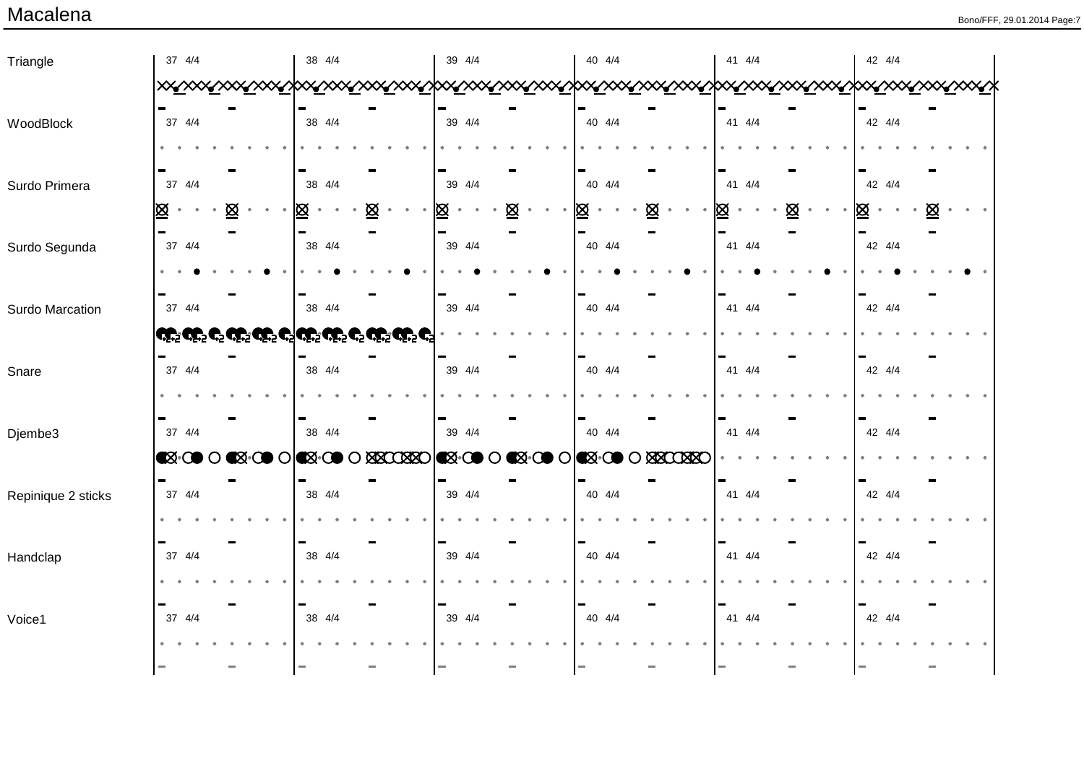| Triangle           | 37 4/4                                                       | 38 4/4                                         | 39 4/4                 | 40 4/4                       | 41 4/4 | 42 4/4   |
|--------------------|--------------------------------------------------------------|------------------------------------------------|------------------------|------------------------------|--------|----------|
|                    |                                                              |                                                |                        |                              |        |          |
| WoodBlock          | 37 4/4                                                       | 38 4/4                                         | 39 4/4                 | 40 4/4                       | 41 4/4 | 42 4/4   |
|                    |                                                              |                                                |                        |                              |        |          |
| Surdo Primera      | 37 4/4                                                       | 38 4/4                                         | 39 4/4                 | 40 4/4                       | 41 4/4 | 42 4/4   |
|                    | $\boxtimes$<br>図                                             | 図<br>図<br>$\bullet$                            | $\boxtimes$<br>図       | $\underline{\otimes}$<br>図   | ⊠<br>図 | ⊠<br>Ø   |
| Surdo Segunda      | 37 4/4                                                       | 38 4/4                                         | 39 4/4                 | 40 4/4                       | 41 4/4 | 42 4/4   |
|                    |                                                              |                                                |                        |                              |        |          |
| Surdo Marcation    | 37 4/4                                                       | 38 4/4                                         | 39 4/4                 | 40 4/4                       | 41 4/4 | 42 4/4   |
|                    | <b>احتی حتیه دی حتیه حتیه دیا حتیه حتیه دی حتیه حتیه</b> دیا |                                                |                        |                              |        |          |
| Snare              | 37 4/4                                                       | 38 4/4                                         | 39 4/4                 | 40 4/4                       | 41 4/4 | 42 4/4   |
|                    |                                                              |                                                |                        |                              |        |          |
| Djembe3            | 37 4/4                                                       | 38 4/4                                         | 39 4/4                 | 40 4/4                       | 41 4/4 | 42 4/4   |
|                    | <b>EX-00 O EX-00 O</b>                                       | <b>XXXXXXO XXXO</b><br><b>B</b> -CO<br>$\circ$ | <b>X</b> OO<br>$\circ$ | <b>K</b> -C<br><b>SECOSE</b> |        |          |
| Repinique 2 sticks | 37 4/4                                                       | 38 4/4                                         | 39 4/4                 | 40 4/4                       | 41 4/4 | 42 4/4   |
|                    |                                                              |                                                |                        |                              |        |          |
| Handclap           | 37 4/4                                                       | 38 4/4                                         | 39 4/4                 | 40 4/4                       | 41 4/4 | 42 4/4   |
|                    |                                                              |                                                |                        |                              |        |          |
| Voice1             | 37 4/4                                                       | 38 4/4                                         | 39 4/4                 | 40 4/4                       | 41 4/4 | 42 4/4   |
|                    |                                                              |                                                |                        |                              |        |          |
|                    |                                                              | ۰                                              | a a                    | $\equiv$                     | ÷,     | $\equiv$ |